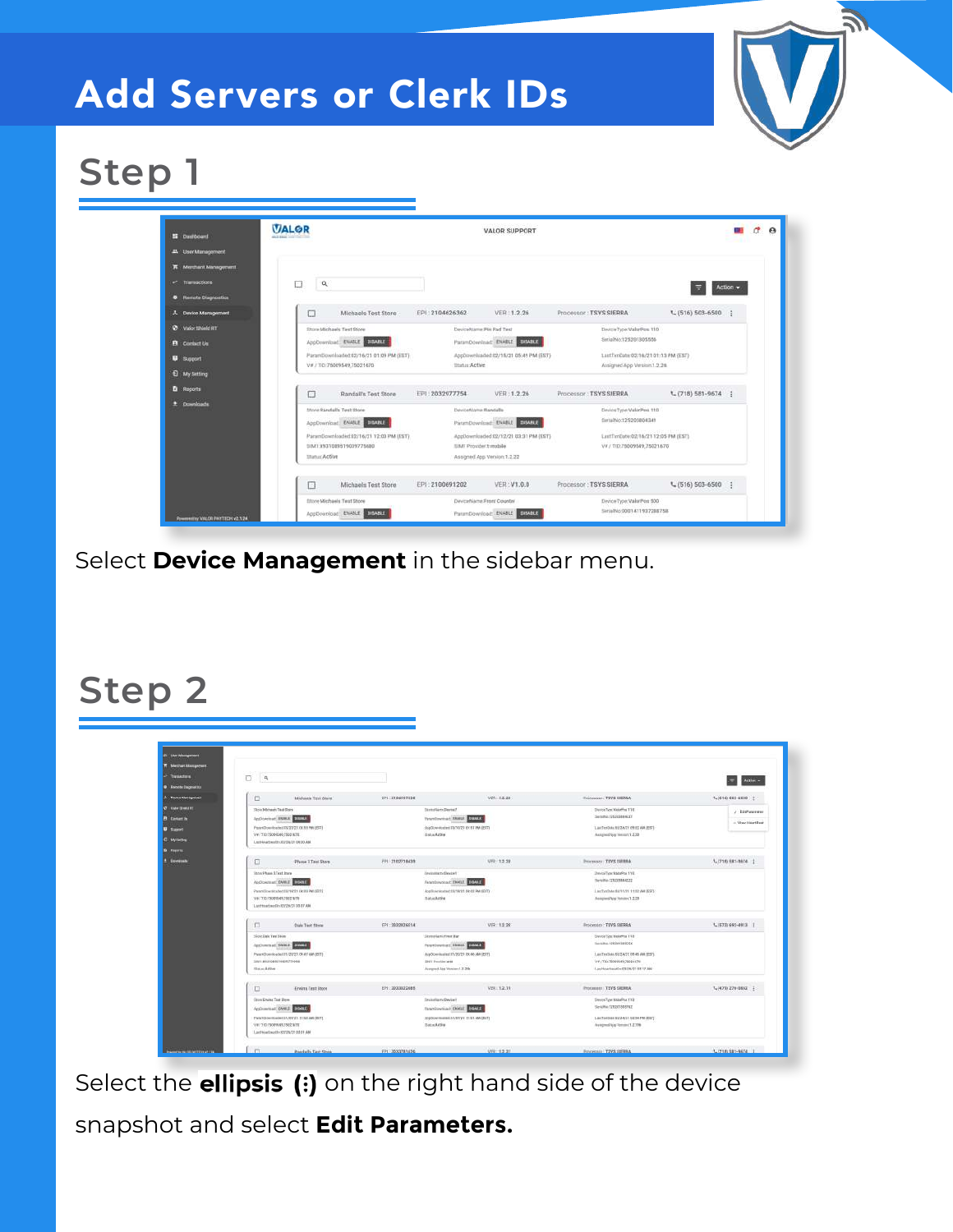# Add Servers or Clerk IDs



# **Step 1**



Select **Device Management** in the sidebar menu.

### **Step 2**

| $\Box$<br>$\mathbf{R}$                                                   |                               |                                            |                                                               | Actual w<br>×        |
|--------------------------------------------------------------------------|-------------------------------|--------------------------------------------|---------------------------------------------------------------|----------------------|
| D<br>Michaels Test Store                                                 | 221 2104107338                | VER: 1.3.28                                | <b>Processe: TEVE GERRA</b>                                   | $1 - (616)$ CCD 4000 |
| This Michaels Task Dock                                                  | <b>BirmsBarry Derror!</b>     |                                            | Derecken Keinfras TSE                                         | $e$ - Line statement |
| Indication Street Corres                                                 |                               | Prominental MARLE COURT                    | Serience 125203884637                                         |                      |
| Paranthism Roaded EN/23/23.00.81 PM (237)                                |                               | Auditory-Audited \$15/10/23 01:11 PM (201) | LastTerOvis XN/2A/21 09:03 AM (EST)                           | - View HeartDest     |
| VW/TE/350006407500167E                                                   | <b>Status Azire</b>           |                                            | Autigned Aug Yoman CL220                                      |                      |
| LastNatbeathUS218/2108/20 AM                                             |                               |                                            |                                                               |                      |
|                                                                          |                               |                                            |                                                               |                      |
| Phase 2 Test Store<br>σ                                                  | <b>FBI 3102218439</b>         | $UFD + 5.578$                              | Processor: TEVS SHIRBA                                        | 1. (718) 681-0674    |
| <b>Inter-Phase 3 Text Store</b>                                          | <b>Hermelstame Device!</b>    |                                            | DivisiType 8MW/oil 11E                                        |                      |
| Autocenati DVAT 2011                                                     |                               | faterdowned floor distance                 | <b>Belville STATERIALS22</b>                                  |                      |
|                                                                          |                               |                                            |                                                               |                      |
| Paramillow steadworld/19221 ORIEL PM (EST)<br>WE COLD DISORDERLY SECTION | Status Arrive                 | Applicacionated \$5/19/21 PR 03 PM (\$5/1) | LasTashMeS&10/21 11:82 AM (KST)<br>Assigned App Watstock 2.28 |                      |
| LonttowEmeSh-RS/2N/21 00:37 AM                                           |                               |                                            |                                                               |                      |
|                                                                          |                               |                                            |                                                               |                      |
| n<br>Dale Test Store                                                     | EP1:3932826514                | VER: 1.3.20                                | Processor: TSVS SIERRA                                        | 1, (573) 692-0113    |
| Slove Dale Text Store                                                    | Desire Game Frent Bar         |                                            | <b>United Statement 118</b>                                   |                      |
| Automobil SMAX SWEET                                                     |                               | Personnel desur prove                      | Jeriaha 120201281556                                          |                      |
| ParamDownloaded 81/20/23 09:41 AM (EST)                                  |                               | AssOciation in 17/20/21 09:46 AM (207)     | LastTreSaleXX/S4/21.08-46 AM (EST)                            |                      |
| 3841.0031009610034774098                                                 | <b>DRIT Provider WW</b>       |                                            | WEITERFORWARDTECH                                             |                      |
| Status Achive                                                            | Assegmed Abs Version: 1.2.206 |                                            | LayPleachwatCrcS/28/21 08:17 AM                               |                      |
| o<br>Erwins Test Store                                                   | EP1: 3003922685               | VER112.19                                  | Processor   TSYS SIERRA                                       | 3,04730 276-0862     |
| (too Dain: Tax Ince                                                      | Designifiame Device in        |                                            | <b>Direct Automatic Inc.</b>                                  |                      |
| Applicacitual DAMIS CONTR                                                |                               | Sauchinettar Donr 1892                     | Se-uno filtzofonorez                                          |                      |
| PAINTBOW/RADIATZENVEL LLNLAM (RRT)                                       |                               | /www.www.assistomar.com/assistomary        | LAUTHORIZAGE UZ BEPM (EST)                                    |                      |
| V#/10JS089MSL75021kYE                                                    | <b>Status Artists</b>         |                                            | Avergred App Verrors (1.2.798)                                |                      |
| Lasthiarthus0x00/28/27 03:01 AM                                          |                               |                                            |                                                               |                      |

Select the **ellipsis** (:) on the right hand side of the device snapshot and select **Edit Parameters.**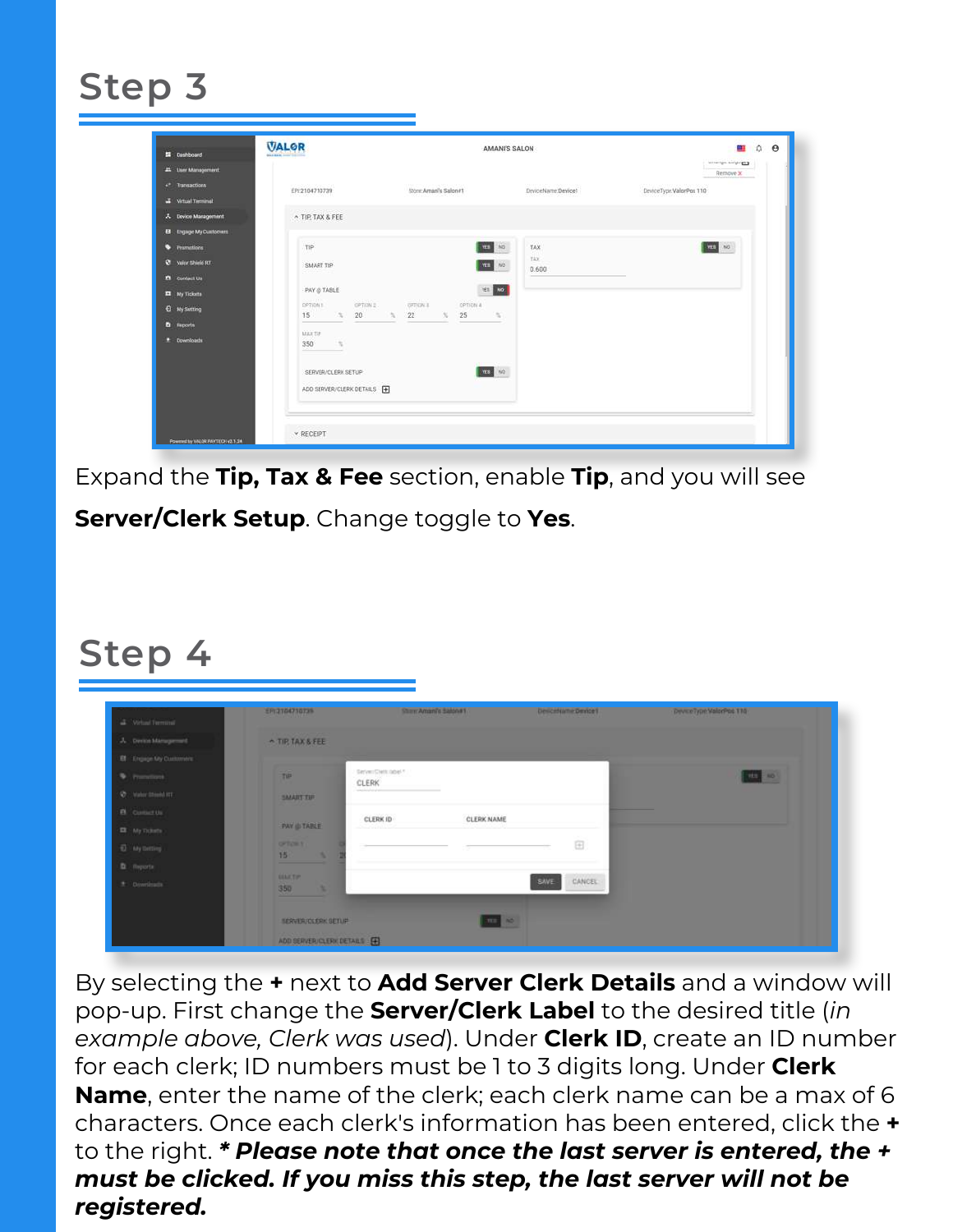# **Step 3**

| accompanied to \$2.3<br>45 User Management<br>Remove X<br><sup>c</sup> Transactions<br>DeviceType:ValorPos 110<br>EP/2104710739<br>Store Aman's Salon#1<br>DeviceName.Device1<br><b>3</b> Virtual Terminal<br>A Device Management<br>A TIP TAX & FEE<br><b>EB</b> Engage My Customers<br><b>STAR</b> NO<br>$m$ , $\infty$<br>· Primutions<br>TIP:<br>TAX<br>TAX.<br><b>Q</b> Valor Shield RT<br>And No<br>SMART TIP<br>0.600<br>$\sim$<br><b>B</b> Contact Us<br>YES 10<br>PAY @ TABLE<br><b>El</b> My Tickets<br><b>SAUDIT</b><br>OPTION 2<br><b>GFTION E</b><br>OPTION &<br>OPTION 1<br><b>Q</b> My Sutting<br>15 % 20 % 22 % 25<br>-15<br>$\overline{\phantom{a}}$<br><b>D</b> Reports<br>MAX SIP<br><b>E</b> Downloads<br>350<br>$\sim$<br>The Committee of the Committee<br><b>DOCE</b> NO<br>SERVER/CLERK SETUP<br>ADD SERVER/CLERK DETAILS P |  |  |  |
|-----------------------------------------------------------------------------------------------------------------------------------------------------------------------------------------------------------------------------------------------------------------------------------------------------------------------------------------------------------------------------------------------------------------------------------------------------------------------------------------------------------------------------------------------------------------------------------------------------------------------------------------------------------------------------------------------------------------------------------------------------------------------------------------------------------------------------------------------------|--|--|--|
|                                                                                                                                                                                                                                                                                                                                                                                                                                                                                                                                                                                                                                                                                                                                                                                                                                                     |  |  |  |
|                                                                                                                                                                                                                                                                                                                                                                                                                                                                                                                                                                                                                                                                                                                                                                                                                                                     |  |  |  |
|                                                                                                                                                                                                                                                                                                                                                                                                                                                                                                                                                                                                                                                                                                                                                                                                                                                     |  |  |  |
|                                                                                                                                                                                                                                                                                                                                                                                                                                                                                                                                                                                                                                                                                                                                                                                                                                                     |  |  |  |
|                                                                                                                                                                                                                                                                                                                                                                                                                                                                                                                                                                                                                                                                                                                                                                                                                                                     |  |  |  |
|                                                                                                                                                                                                                                                                                                                                                                                                                                                                                                                                                                                                                                                                                                                                                                                                                                                     |  |  |  |
|                                                                                                                                                                                                                                                                                                                                                                                                                                                                                                                                                                                                                                                                                                                                                                                                                                                     |  |  |  |
|                                                                                                                                                                                                                                                                                                                                                                                                                                                                                                                                                                                                                                                                                                                                                                                                                                                     |  |  |  |
|                                                                                                                                                                                                                                                                                                                                                                                                                                                                                                                                                                                                                                                                                                                                                                                                                                                     |  |  |  |
|                                                                                                                                                                                                                                                                                                                                                                                                                                                                                                                                                                                                                                                                                                                                                                                                                                                     |  |  |  |

Expand the **Tip, Tax & Fee** section, enable **Tip**, and you will see **Server/Clerk Setup**. Change toggle to **Yes**.

### **Step 4**

| 2 What formed          | ER(2104710739)               |                           | Stan America Salonet | Descritame Device1    | Developpe Valorino 110 |
|------------------------|------------------------------|---------------------------|----------------------|-----------------------|------------------------|
| A Derin Management     | <b>A TIP TAX &amp; FEE</b>   |                           |                      |                       |                        |
| BT Engage My Customers |                              |                           |                      |                       |                        |
| <b>Williams</b>        | TIP                          | SevenDatt.com **<br>CLERK |                      |                       | <b>THE ROL</b>         |
| C Value Mont Inc.      | <b>SMART THE</b>             | wealth and                |                      |                       |                        |
| <b>B</b> Contexts      |                              | CLERK ID                  | <b>CLERK NAME</b>    |                       |                        |
| ER My Tickets          | <b>PAY &amp; TABLE</b>       |                           |                      | <b>STORY</b>          |                        |
| E My Delling           | <b>OFFICIES</b><br>15<br>×   |                           |                      | $\boxdot$             |                        |
| <b>B</b> Reports       |                              |                           |                      |                       |                        |
| * Downloads            | <b>GELETIN</b><br>350<br>×   |                           |                      | SAVE<br><b>CANCEL</b> |                        |
|                        |                              |                           |                      |                       |                        |
|                        | <b>TERVISH CLERK SETUP</b>   |                           | $m = 1$              |                       |                        |
|                        | ADD SERVER/CLERK DETAILS [4] |                           |                      |                       |                        |

By selecting the **+** next to **Add Server Clerk Details** and a window will pop-up. First change the **Server/Clerk Label** to the desired title (*in example above, Clerk was used*). Under **Clerk ID**, create an ID number for each clerk; ID numbers must be 1 to 3 digits long. Under **Clerk Name**, enter the name of the clerk; each clerk name can be a max of 6 characters. Once each clerk's information has been entered, click the **+** to the right. *\* Please note that once the last server is entered, the + must be clicked. If you miss this step, the last server will not be registered.*